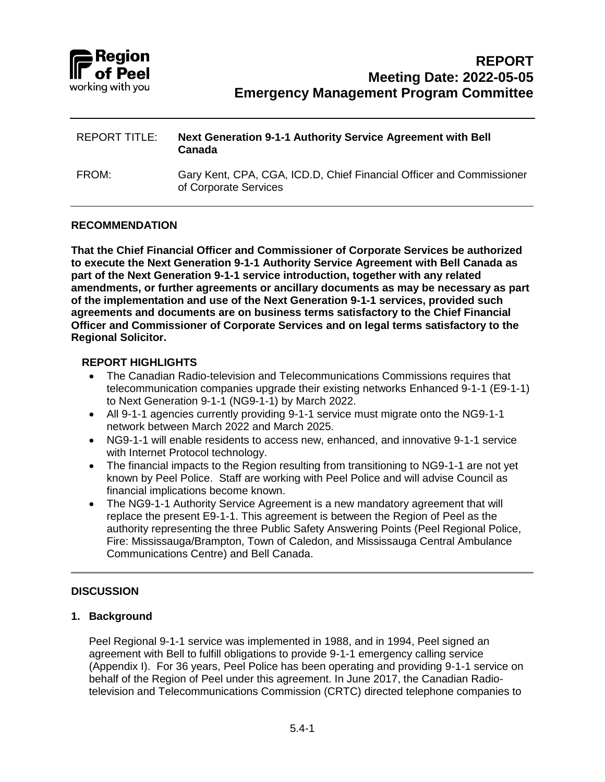

| <b>REPORT TITLE:</b> | Next Generation 9-1-1 Authority Service Agreement with Bell<br>Canada                         |
|----------------------|-----------------------------------------------------------------------------------------------|
| FROM:                | Gary Kent, CPA, CGA, ICD.D, Chief Financial Officer and Commissioner<br>of Corporate Services |

#### **RECOMMENDATION**

**That the Chief Financial Officer and Commissioner of Corporate Services be authorized to execute the Next Generation 9-1-1 Authority Service Agreement with Bell Canada as part of the Next Generation 9-1-1 service introduction, together with any related amendments, or further agreements or ancillary documents as may be necessary as part of the implementation and use of the Next Generation 9-1-1 services, provided such agreements and documents are on business terms satisfactory to the Chief Financial Officer and Commissioner of Corporate Services and on legal terms satisfactory to the Regional Solicitor.**

#### **REPORT HIGHLIGHTS**

- The Canadian Radio-television and Telecommunications Commissions requires that telecommunication companies upgrade their existing networks Enhanced 9-1-1 (E9-1-1) to Next Generation 9-1-1 (NG9-1-1) by March 2022.
- All 9-1-1 agencies currently providing 9-1-1 service must migrate onto the NG9-1-1 network between March 2022 and March 2025.
- NG9-1-1 will enable residents to access new, enhanced, and innovative 9-1-1 service with Internet Protocol technology.
- The financial impacts to the Region resulting from transitioning to NG9-1-1 are not yet known by Peel Police. Staff are working with Peel Police and will advise Council as financial implications become known.
- The NG9-1-1 Authority Service Agreement is a new mandatory agreement that will replace the present E9-1-1. This agreement is between the Region of Peel as the authority representing the three Public Safety Answering Points (Peel Regional Police, Fire: Mississauga/Brampton, Town of Caledon, and Mississauga Central Ambulance Communications Centre) and Bell Canada.

## **DISCUSSION**

## **1. Background**

Peel Regional 9-1-1 service was implemented in 1988, and in 1994, Peel signed an agreement with Bell to fulfill obligations to provide 9-1-1 emergency calling service (Appendix I). For 36 years, Peel Police has been operating and providing 9-1-1 service on behalf of the Region of Peel under this agreement. In June 2017, the Canadian Radiotelevision and Telecommunications Commission (CRTC) directed telephone companies to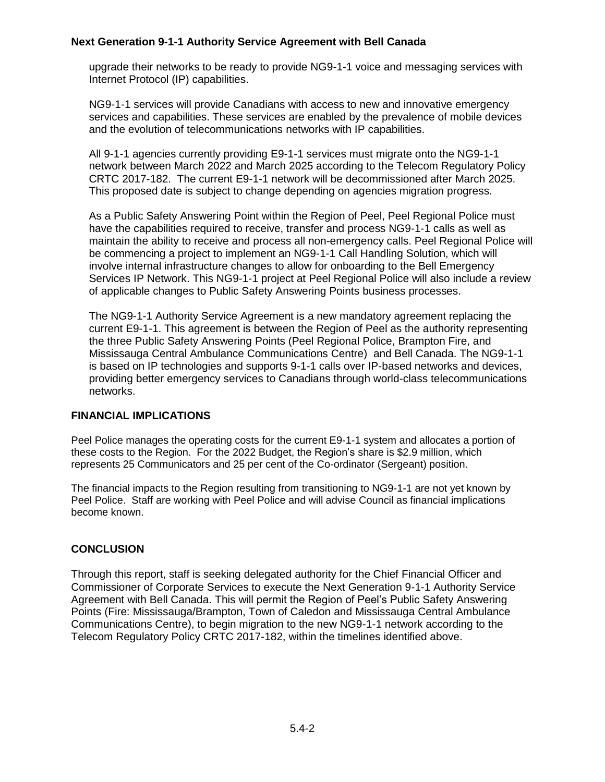# **Next Generation 9-1-1 Authority Service Agreement with Bell Canada**

upgrade their networks to be ready to provide NG9-1-1 voice and messaging services with Internet Protocol (IP) capabilities.

NG9-1-1 services will provide Canadians with access to new and innovative emergency services and capabilities. These services are enabled by the prevalence of mobile devices and the evolution of telecommunications networks with IP capabilities.

All 9-1-1 agencies currently providing E9-1-1 services must migrate onto the NG9-1-1 network between March 2022 and March 2025 according to the Telecom Regulatory Policy CRTC 2017-182. The current E9-1-1 network will be decommissioned after March 2025. This proposed date is subject to change depending on agencies migration progress.

As a Public Safety Answering Point within the Region of Peel, Peel Regional Police must have the capabilities required to receive, transfer and process NG9-1-1 calls as well as maintain the ability to receive and process all non-emergency calls. Peel Regional Police will be commencing a project to implement an NG9-1-1 Call Handling Solution, which will involve internal infrastructure changes to allow for onboarding to the Bell Emergency Services IP Network. This NG9-1-1 project at Peel Regional Police will also include a review of applicable changes to Public Safety Answering Points business processes.

The NG9-1-1 Authority Service Agreement is a new mandatory agreement replacing the current E9-1-1. This agreement is between the Region of Peel as the authority representing the three Public Safety Answering Points (Peel Regional Police, Brampton Fire, and Mississauga Central Ambulance Communications Centre) and Bell Canada. The NG9-1-1 is based on IP technologies and supports 9-1-1 calls over IP-based networks and devices, providing better emergency services to Canadians through world-class telecommunications networks.

## **FINANCIAL IMPLICATIONS**

Peel Police manages the operating costs for the current E9-1-1 system and allocates a portion of these costs to the Region. For the 2022 Budget, the Region's share is \$2.9 million, which represents 25 Communicators and 25 per cent of the Co-ordinator (Sergeant) position.

The financial impacts to the Region resulting from transitioning to NG9-1-1 are not yet known by Peel Police. Staff are working with Peel Police and will advise Council as financial implications become known.

# **CONCLUSION**

Through this report, staff is seeking delegated authority for the Chief Financial Officer and Commissioner of Corporate Services to execute the Next Generation 9-1-1 Authority Service Agreement with Bell Canada. This will permit the Region of Peel's Public Safety Answering Points (Fire: Mississauga/Brampton, Town of Caledon and Mississauga Central Ambulance Communications Centre), to begin migration to the new NG9-1-1 network according to the Telecom Regulatory Policy CRTC 2017-182, within the timelines identified above.